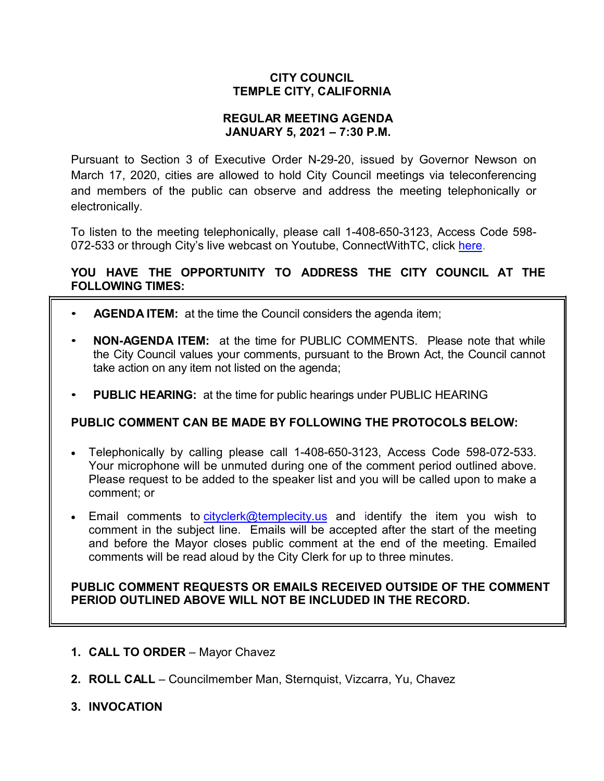## **CITY COUNCIL TEMPLE CITY, CALIFORNIA**

## **REGULAR MEETING AGENDA JANUARY 5, 2021 – 7:30 P.M.**

Pursuant to Section 3 of Executive Order N-29-20, issued by Governor Newson on March 17, 2020, cities are allowed to hold City Council meetings via teleconferencing and members of the public can observe and address the meeting telephonically or electronically.

To listen to the meeting telephonically, please call 1-408-650-3123, Access Code 598 072-533 or through City's live webcast on Youtube, ConnectWithTC, click [here.](https://www.ci.temple-city.ca.us/516/Meeting-Webcast)

# **YOU HAVE THE OPPORTUNITY TO ADDRESS THE CITY COUNCIL AT THE FOLLOWING TIMES:**

- **AGENDA ITEM:** at the time the Council considers the agenda item;
- **NON-AGENDA ITEM:** at the time for PUBLIC COMMENTS. Please note that while the City Council values your comments, pursuant to the Brown Act, the Council cannot take action on any item not listed on the agenda;
- **PUBLIC HEARING:** at the time for public hearings under PUBLIC HEARING

## **PUBLIC COMMENT CAN BE MADE BY FOLLOWING THE PROTOCOLS BELOW:**

- Telephonically by calling please call 1-408-650-3123, Access Code 598-072-533. Your microphone will be unmuted during one of the comment period outlined above. Please request to be added to the speaker list and you will be called upon to make a comment; or
- Email comments to [cityclerk@templecity.us](mailto:cityclerk@templecity.us) and identify the item you wish to comment in the subject line. Emails will be accepted after the start of the meeting and before the Mayor closes public comment at the end of the meeting. Emailed comments will be read aloud by the City Clerk for up to three minutes.

## **PUBLIC COMMENT REQUESTS OR EMAILS RECEIVED OUTSIDE OF THE COMMENT PERIOD OUTLINED ABOVE WILL NOT BE INCLUDED IN THE RECORD.**

- **1. CALL TO ORDER**  Mayor Chavez
- **2. ROLL CALL**  Councilmember Man, Sternquist, Vizcarra, Yu, Chavez
- **3. INVOCATION**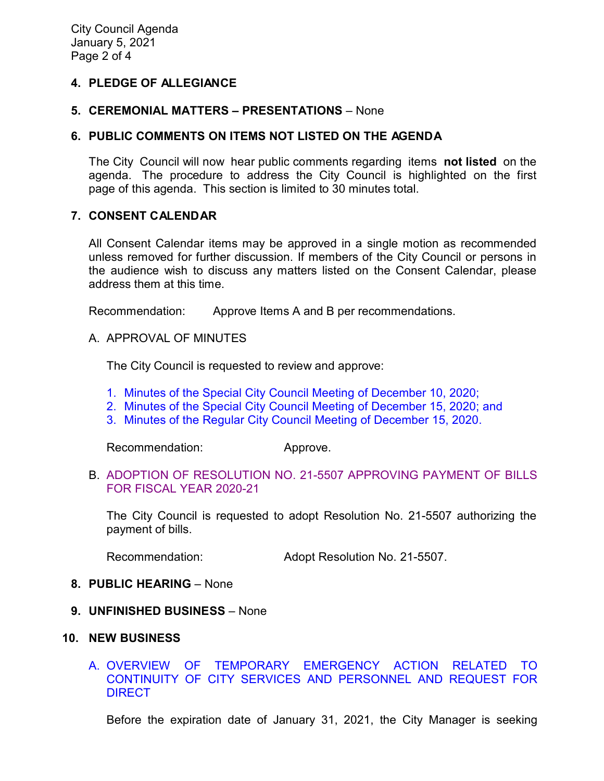## **4. PLEDGE OF ALLEGIANCE**

#### **5. CEREMONIAL MATTERS – PRESENTATIONS** – None

#### **6. PUBLIC COMMENTS ON ITEMS NOT LISTED ON THE AGENDA**

The City Council will now hear public comments regarding items **not listed** on the agenda. The procedure to address the City Council is highlighted on the first page of this agenda. This section is limited to 30 minutes total.

#### **7. CONSENT CALENDAR**

All Consent Calendar items may be approved in a single motion as recommended unless removed for further discussion. If members of the City Council or persons in the audience wish to discuss any matters listed on the Consent Calendar, please address them at this time.

Recommendation: Approve Items A and B per recommendations.

A. APPROVAL OF MINUTES

The City Council is requested to review and approve:

- [1. Minutes of the Special City Council Meeting of December 10, 2020;](https://ca-templecity.civicplus.com/DocumentCenter/View/15546/03_7A-1_CCM---2020-12-10-Sheriff-Monthly)
- 2. Minutes of the Special [City Council Meeting of December 15, 2020; and](https://ca-templecity.civicplus.com/DocumentCenter/View/15547/04_7A-2_CCM---2020-12-15-Special)
- [3. Minutes of the Regular City Council Meeting of December 15, 2020.](https://ca-templecity.civicplus.com/DocumentCenter/View/15544/05_7A-3_CCM---2020-12-15)

Recommendation: Approve.

B. [ADOPTION OF RESOLUTION NO. 21-5507](https://ca-templecity.civicplus.com/DocumentCenter/View/15557/7B_Warrant-Register_Reso-No-21-5507) APPROVING PAYMENT OF BILLS [FOR FISCAL YEAR 2020-21](https://ca-templecity.civicplus.com/DocumentCenter/View/15557/7B_Warrant-Register_Reso-No-21-5507)

The City Council is requested to adopt Resolution No. 21-5507 authorizing the payment of bills.

Recommendation: Adopt Resolution No. 21-5507.

- **8. PUBLIC HEARING**  None
- **9. UNFINISHED BUSINESS** None
- **10. NEW BUSINESS**

## A. [OVERVIEW OF TEMPORARY EMERGENCY ACTION RELATED TO](https://ca-templecity.civicplus.com/DocumentCenter/View/15545/06_10A_Overview-of-Temporary-Emergency-Action_Staff-Report)  [CONTINUITY OF CITY SERVICES AND PERSONNEL AND REQUEST FOR](https://ca-templecity.civicplus.com/DocumentCenter/View/15545/06_10A_Overview-of-Temporary-Emergency-Action_Staff-Report)  **[DIRECT](https://ca-templecity.civicplus.com/DocumentCenter/View/15545/06_10A_Overview-of-Temporary-Emergency-Action_Staff-Report)**

Before the expiration date of January 31, 2021, the City Manager is seeking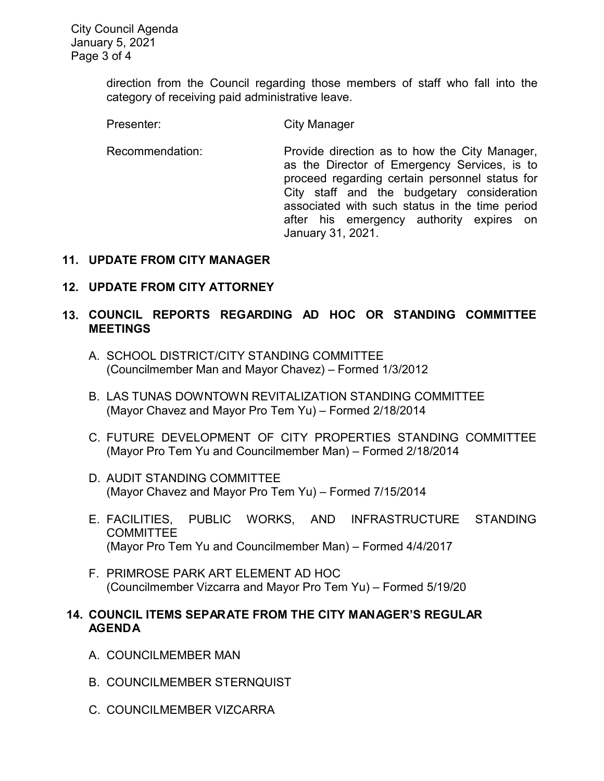direction from the Council regarding those members of staff who fall into the category of receiving paid administrative leave.

Presenter: City Manager

Recommendation: Provide direction as to how the City Manager, as the Director of Emergency Services, is to proceed regarding certain personnel status for City staff and the budgetary consideration associated with such status in the time period after his emergency authority expires on January 31, 2021.

# **11. UPDATE FROM CITY MANAGER**

# **12. UPDATE FROM CITY ATTORNEY**

# **13. COUNCIL REPORTS REGARDING AD HOC OR STANDING COMMITTEE MEETINGS**

- A. SCHOOL DISTRICT/CITY STANDING COMMITTEE (Councilmember Man and Mayor Chavez) – Formed 1/3/2012
- B. LAS TUNAS DOWNTOWN REVITALIZATION STANDING COMMITTEE (Mayor Chavez and Mayor Pro Tem Yu) – Formed 2/18/2014
- C. FUTURE DEVELOPMENT OF CITY PROPERTIES STANDING COMMITTEE (Mayor Pro Tem Yu and Councilmember Man) – Formed 2/18/2014
- D. AUDIT STANDING COMMITTEE (Mayor Chavez and Mayor Pro Tem Yu) – Formed 7/15/2014
- E. FACILITIES, PUBLIC WORKS, AND INFRASTRUCTURE STANDING COMMITTEE (Mayor Pro Tem Yu and Councilmember Man) – Formed 4/4/2017
- F. PRIMROSE PARK ART ELEMENT AD HOC (Councilmember Vizcarra and Mayor Pro Tem Yu) – Formed 5/19/20

# **14. COUNCIL ITEMS SEPARATE FROM THE CITY MANAGER'S REGULAR AGENDA**

- A. COUNCILMEMBER MAN
- B. COUNCILMEMBER STERNQUIST
- C. COUNCILMEMBER VIZCARRA